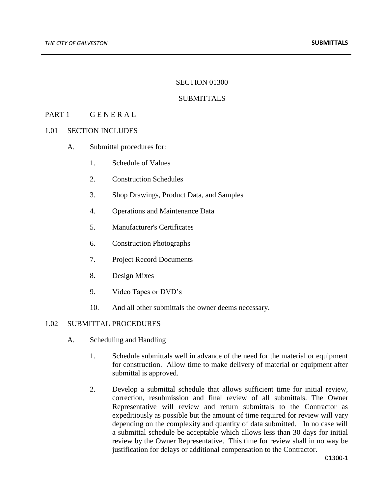#### SECTION 01300

## **SUBMITTALS**

## PART 1 GENERAL

#### 1.01 SECTION INCLUDES

- A. Submittal procedures for:
	- 1. Schedule of Values
	- 2. Construction Schedules
	- 3. Shop Drawings, Product Data, and Samples
	- 4. Operations and Maintenance Data
	- 5. Manufacturer's Certificates
	- 6. Construction Photographs
	- 7. Project Record Documents
	- 8. Design Mixes
	- 9. Video Tapes or DVD's
	- 10. And all other submittals the owner deems necessary.

## 1.02 SUBMITTAL PROCEDURES

- A. Scheduling and Handling
	- 1. Schedule submittals well in advance of the need for the material or equipment for construction. Allow time to make delivery of material or equipment after submittal is approved.
	- 2. Develop a submittal schedule that allows sufficient time for initial review, correction, resubmission and final review of all submittals. The Owner Representative will review and return submittals to the Contractor as expeditiously as possible but the amount of time required for review will vary depending on the complexity and quantity of data submitted. In no case will a submittal schedule be acceptable which allows less than 30 days for initial review by the Owner Representative. This time for review shall in no way be justification for delays or additional compensation to the Contractor.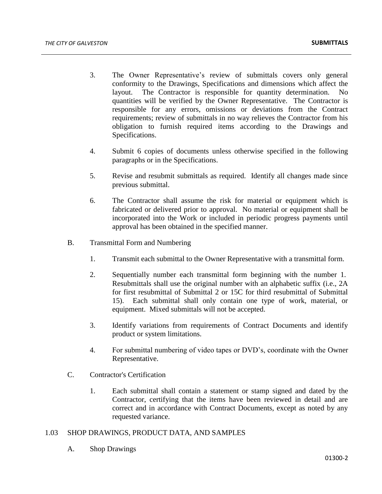- 3. The Owner Representative's review of submittals covers only general conformity to the Drawings, Specifications and dimensions which affect the layout. The Contractor is responsible for quantity determination. No quantities will be verified by the Owner Representative. The Contractor is responsible for any errors, omissions or deviations from the Contract requirements; review of submittals in no way relieves the Contractor from his obligation to furnish required items according to the Drawings and Specifications.
- 4. Submit 6 copies of documents unless otherwise specified in the following paragraphs or in the Specifications.
- 5. Revise and resubmit submittals as required. Identify all changes made since previous submittal.
- 6. The Contractor shall assume the risk for material or equipment which is fabricated or delivered prior to approval. No material or equipment shall be incorporated into the Work or included in periodic progress payments until approval has been obtained in the specified manner.
- B. Transmittal Form and Numbering
	- 1. Transmit each submittal to the Owner Representative with a transmittal form.
	- 2. Sequentially number each transmittal form beginning with the number 1. Resubmittals shall use the original number with an alphabetic suffix (i.e., 2A for first resubmittal of Submittal 2 or 15C for third resubmittal of Submittal 15). Each submittal shall only contain one type of work, material, or equipment. Mixed submittals will not be accepted.
	- 3. Identify variations from requirements of Contract Documents and identify product or system limitations.
	- 4. For submittal numbering of video tapes or DVD's, coordinate with the Owner Representative.
- C. Contractor's Certification
	- 1. Each submittal shall contain a statement or stamp signed and dated by the Contractor, certifying that the items have been reviewed in detail and are correct and in accordance with Contract Documents, except as noted by any requested variance.

## 1.03 SHOP DRAWINGS, PRODUCT DATA, AND SAMPLES

A. Shop Drawings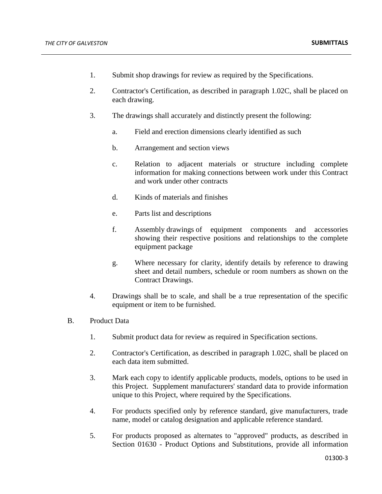- 1. Submit shop drawings for review as required by the Specifications.
- 2. Contractor's Certification, as described in paragraph 1.02C, shall be placed on each drawing.
- 3. The drawings shall accurately and distinctly present the following:
	- a. Field and erection dimensions clearly identified as such
	- b. Arrangement and section views
	- c. Relation to adjacent materials or structure including complete information for making connections between work under this Contract and work under other contracts
	- d. Kinds of materials and finishes
	- e. Parts list and descriptions
	- f. Assembly drawings of equipment components and accessories showing their respective positions and relationships to the complete equipment package
	- g. Where necessary for clarity, identify details by reference to drawing sheet and detail numbers, schedule or room numbers as shown on the Contract Drawings.
- 4. Drawings shall be to scale, and shall be a true representation of the specific equipment or item to be furnished.
- B. Product Data
	- 1. Submit product data for review as required in Specification sections.
	- 2. Contractor's Certification, as described in paragraph 1.02C, shall be placed on each data item submitted.
	- 3. Mark each copy to identify applicable products, models, options to be used in this Project. Supplement manufacturers' standard data to provide information unique to this Project, where required by the Specifications.
	- 4. For products specified only by reference standard, give manufacturers, trade name, model or catalog designation and applicable reference standard.
	- 5. For products proposed as alternates to "approved" products, as described in Section 01630 - Product Options and Substitutions, provide all information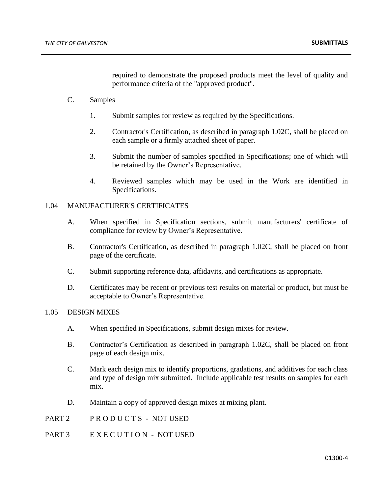required to demonstrate the proposed products meet the level of quality and performance criteria of the "approved product".

- C. Samples
	- 1. Submit samples for review as required by the Specifications.
	- 2. Contractor's Certification, as described in paragraph 1.02C, shall be placed on each sample or a firmly attached sheet of paper.
	- 3. Submit the number of samples specified in Specifications; one of which will be retained by the Owner's Representative.
	- 4. Reviewed samples which may be used in the Work are identified in Specifications.

# 1.04 MANUFACTURER'S CERTIFICATES

- A. When specified in Specification sections, submit manufacturers' certificate of compliance for review by Owner's Representative.
- B. Contractor's Certification, as described in paragraph 1.02C, shall be placed on front page of the certificate.
- C. Submit supporting reference data, affidavits, and certifications as appropriate.
- D. Certificates may be recent or previous test results on material or product, but must be acceptable to Owner's Representative.

# 1.05 DESIGN MIXES

- A. When specified in Specifications, submit design mixes for review.
- B. Contractor's Certification as described in paragraph 1.02C, shall be placed on front page of each design mix.
- C. Mark each design mix to identify proportions, gradations, and additives for each class and type of design mix submitted. Include applicable test results on samples for each mix.
- D. Maintain a copy of approved design mixes at mixing plant.
- PART 2 PRODUCTS NOT USED
- PART 3 E X E C U T I O N NOT USED